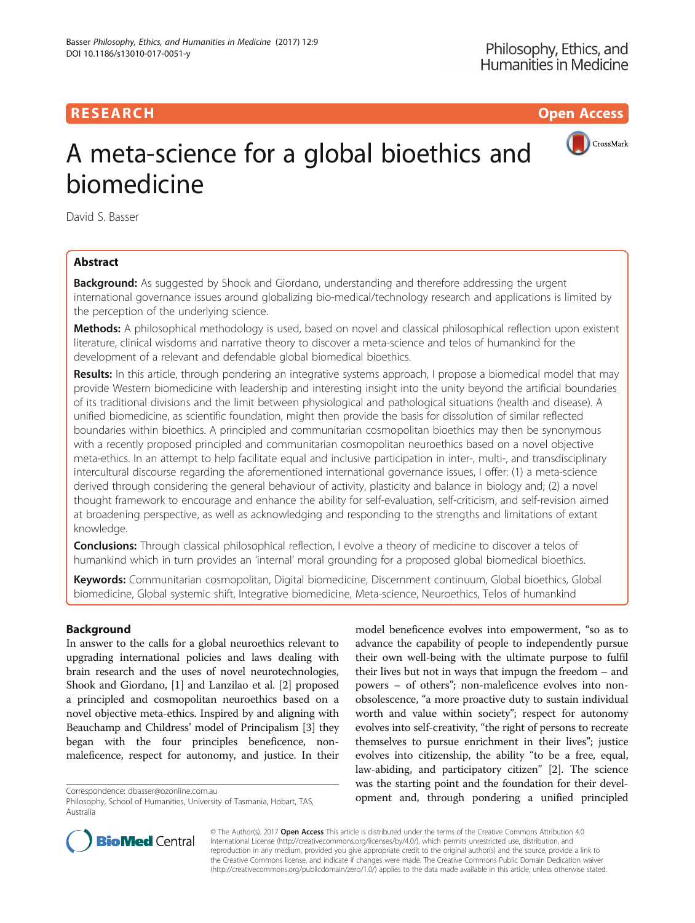## **RESEARCH CHILD CONTROL** CONTROL CONTROL CONTROL CONTROL CONTROL CONTROL CONTROL CONTROL CONTROL CONTROL CONTROL



# A meta-science for a global bioethics and biomedicine

David S. Basser

## Abstract

**Background:** As suggested by Shook and Giordano, understanding and therefore addressing the urgent international governance issues around globalizing bio-medical/technology research and applications is limited by the perception of the underlying science.

Methods: A philosophical methodology is used, based on novel and classical philosophical reflection upon existent literature, clinical wisdoms and narrative theory to discover a meta-science and telos of humankind for the development of a relevant and defendable global biomedical bioethics.

Results: In this article, through pondering an integrative systems approach, I propose a biomedical model that may provide Western biomedicine with leadership and interesting insight into the unity beyond the artificial boundaries of its traditional divisions and the limit between physiological and pathological situations (health and disease). A unified biomedicine, as scientific foundation, might then provide the basis for dissolution of similar reflected boundaries within bioethics. A principled and communitarian cosmopolitan bioethics may then be synonymous with a recently proposed principled and communitarian cosmopolitan neuroethics based on a novel objective meta-ethics. In an attempt to help facilitate equal and inclusive participation in inter-, multi-, and transdisciplinary intercultural discourse regarding the aforementioned international governance issues, I offer: (1) a meta-science derived through considering the general behaviour of activity, plasticity and balance in biology and; (2) a novel thought framework to encourage and enhance the ability for self-evaluation, self-criticism, and self-revision aimed at broadening perspective, as well as acknowledging and responding to the strengths and limitations of extant knowledge.

**Conclusions:** Through classical philosophical reflection, I evolve a theory of medicine to discover a telos of humankind which in turn provides an 'internal' moral grounding for a proposed global biomedical bioethics.

Keywords: Communitarian cosmopolitan, Digital biomedicine, Discernment continuum, Global bioethics, Global biomedicine, Global systemic shift, Integrative biomedicine, Meta-science, Neuroethics, Telos of humankind

## Background

In answer to the calls for a global neuroethics relevant to upgrading international policies and laws dealing with brain research and the uses of novel neurotechnologies, Shook and Giordano, [[1\]](#page-6-0) and Lanzilao et al. [\[2](#page-6-0)] proposed a principled and cosmopolitan neuroethics based on a novel objective meta-ethics. Inspired by and aligning with Beauchamp and Childress' model of Principalism [\[3](#page-6-0)] they began with the four principles beneficence, nonmaleficence, respect for autonomy, and justice. In their

model beneficence evolves into empowerment, "so as to advance the capability of people to independently pursue their own well-being with the ultimate purpose to fulfil their lives but not in ways that impugn the freedom – and powers – of others"; non-maleficence evolves into nonobsolescence, "a more proactive duty to sustain individual worth and value within society"; respect for autonomy evolves into self-creativity, "the right of persons to recreate themselves to pursue enrichment in their lives"; justice evolves into citizenship, the ability "to be a free, equal, law-abiding, and participatory citizen" [\[2](#page-6-0)]. The science was the starting point and the foundation for their develCorrespondence: [dbasser@ozonline.com.au](mailto:dbasser@ozonline.com.au)<br>Philosophy School of Humanities University of Tasmania Hobart TAS **opment and, through pondering a unified principled** 



© The Author(s). 2017 **Open Access** This article is distributed under the terms of the Creative Commons Attribution 4.0 International License [\(http://creativecommons.org/licenses/by/4.0/](http://creativecommons.org/licenses/by/4.0/)), which permits unrestricted use, distribution, and reproduction in any medium, provided you give appropriate credit to the original author(s) and the source, provide a link to the Creative Commons license, and indicate if changes were made. The Creative Commons Public Domain Dedication waiver [\(http://creativecommons.org/publicdomain/zero/1.0/](http://creativecommons.org/publicdomain/zero/1.0/)) applies to the data made available in this article, unless otherwise stated.

Philosophy, School of Humanities, University of Tasmania, Hobart, TAS, Australia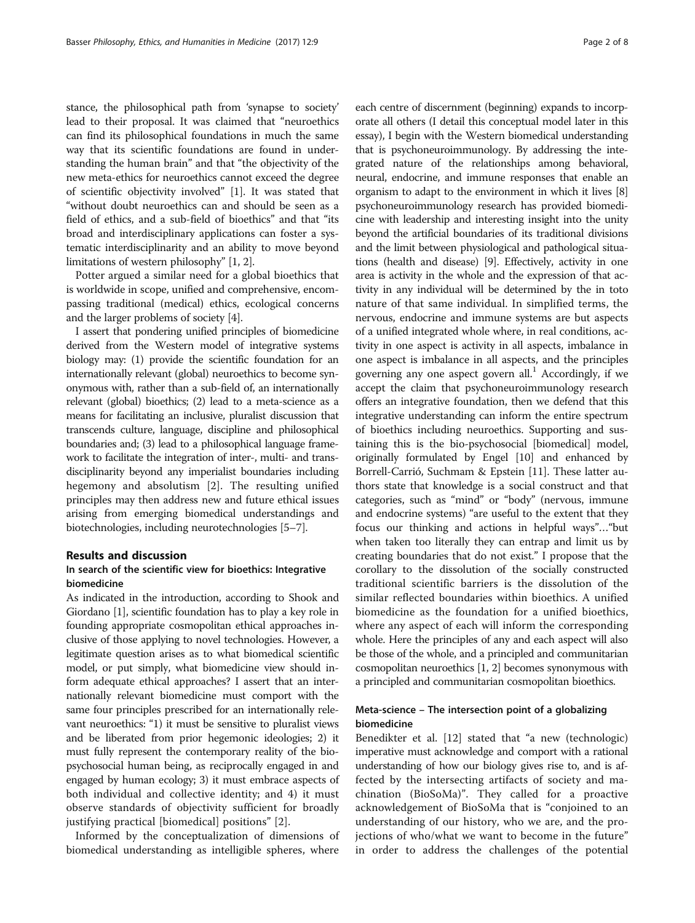stance, the philosophical path from 'synapse to society' lead to their proposal. It was claimed that "neuroethics can find its philosophical foundations in much the same way that its scientific foundations are found in understanding the human brain" and that "the objectivity of the new meta-ethics for neuroethics cannot exceed the degree of scientific objectivity involved" [\[1](#page-6-0)]. It was stated that "without doubt neuroethics can and should be seen as a field of ethics, and a sub-field of bioethics" and that "its broad and interdisciplinary applications can foster a systematic interdisciplinarity and an ability to move beyond limitations of western philosophy" [[1, 2](#page-6-0)].

Potter argued a similar need for a global bioethics that is worldwide in scope, unified and comprehensive, encompassing traditional (medical) ethics, ecological concerns and the larger problems of society [\[4](#page-6-0)].

I assert that pondering unified principles of biomedicine derived from the Western model of integrative systems biology may: (1) provide the scientific foundation for an internationally relevant (global) neuroethics to become synonymous with, rather than a sub-field of, an internationally relevant (global) bioethics; (2) lead to a meta-science as a means for facilitating an inclusive, pluralist discussion that transcends culture, language, discipline and philosophical boundaries and; (3) lead to a philosophical language framework to facilitate the integration of inter-, multi- and transdisciplinarity beyond any imperialist boundaries including hegemony and absolutism [[2\]](#page-6-0). The resulting unified principles may then address new and future ethical issues arising from emerging biomedical understandings and biotechnologies, including neurotechnologies [\[5](#page-6-0)–[7\]](#page-6-0).

#### Results and discussion

## In search of the scientific view for bioethics: Integrative biomedicine

As indicated in the introduction, according to Shook and Giordano [\[1\]](#page-6-0), scientific foundation has to play a key role in founding appropriate cosmopolitan ethical approaches inclusive of those applying to novel technologies. However, a legitimate question arises as to what biomedical scientific model, or put simply, what biomedicine view should inform adequate ethical approaches? I assert that an internationally relevant biomedicine must comport with the same four principles prescribed for an internationally relevant neuroethics: "1) it must be sensitive to pluralist views and be liberated from prior hegemonic ideologies; 2) it must fully represent the contemporary reality of the biopsychosocial human being, as reciprocally engaged in and engaged by human ecology; 3) it must embrace aspects of both individual and collective identity; and 4) it must observe standards of objectivity sufficient for broadly justifying practical [biomedical] positions" [[2](#page-6-0)].

Informed by the conceptualization of dimensions of biomedical understanding as intelligible spheres, where each centre of discernment (beginning) expands to incorporate all others (I detail this conceptual model later in this essay), I begin with the Western biomedical understanding that is psychoneuroimmunology. By addressing the integrated nature of the relationships among behavioral, neural, endocrine, and immune responses that enable an organism to adapt to the environment in which it lives [[8](#page-6-0)] psychoneuroimmunology research has provided biomedicine with leadership and interesting insight into the unity beyond the artificial boundaries of its traditional divisions and the limit between physiological and pathological situations (health and disease) [\[9\]](#page-6-0). Effectively, activity in one area is activity in the whole and the expression of that activity in any individual will be determined by the in toto nature of that same individual. In simplified terms, the nervous, endocrine and immune systems are but aspects of a unified integrated whole where, in real conditions, activity in one aspect is activity in all aspects, imbalance in one aspect is imbalance in all aspects, and the principles governing any one aspect govern all.<sup>1</sup> Accordingly, if we accept the claim that psychoneuroimmunology research offers an integrative foundation, then we defend that this integrative understanding can inform the entire spectrum of bioethics including neuroethics. Supporting and sustaining this is the bio-psychosocial [biomedical] model, originally formulated by Engel [[10\]](#page-6-0) and enhanced by Borrell-Carrió, Suchmam & Epstein [\[11\]](#page-6-0). These latter authors state that knowledge is a social construct and that categories, such as "mind" or "body" (nervous, immune and endocrine systems) "are useful to the extent that they focus our thinking and actions in helpful ways"…"but when taken too literally they can entrap and limit us by creating boundaries that do not exist." I propose that the corollary to the dissolution of the socially constructed traditional scientific barriers is the dissolution of the similar reflected boundaries within bioethics. A unified biomedicine as the foundation for a unified bioethics, where any aspect of each will inform the corresponding whole. Here the principles of any and each aspect will also be those of the whole, and a principled and communitarian cosmopolitan neuroethics [\[1, 2](#page-6-0)] becomes synonymous with a principled and communitarian cosmopolitan bioethics.

## Meta-science – The intersection point of a globalizing biomedicine

Benedikter et al. [\[12\]](#page-6-0) stated that "a new (technologic) imperative must acknowledge and comport with a rational understanding of how our biology gives rise to, and is affected by the intersecting artifacts of society and machination (BioSoMa)". They called for a proactive acknowledgement of BioSoMa that is "conjoined to an understanding of our history, who we are, and the projections of who/what we want to become in the future" in order to address the challenges of the potential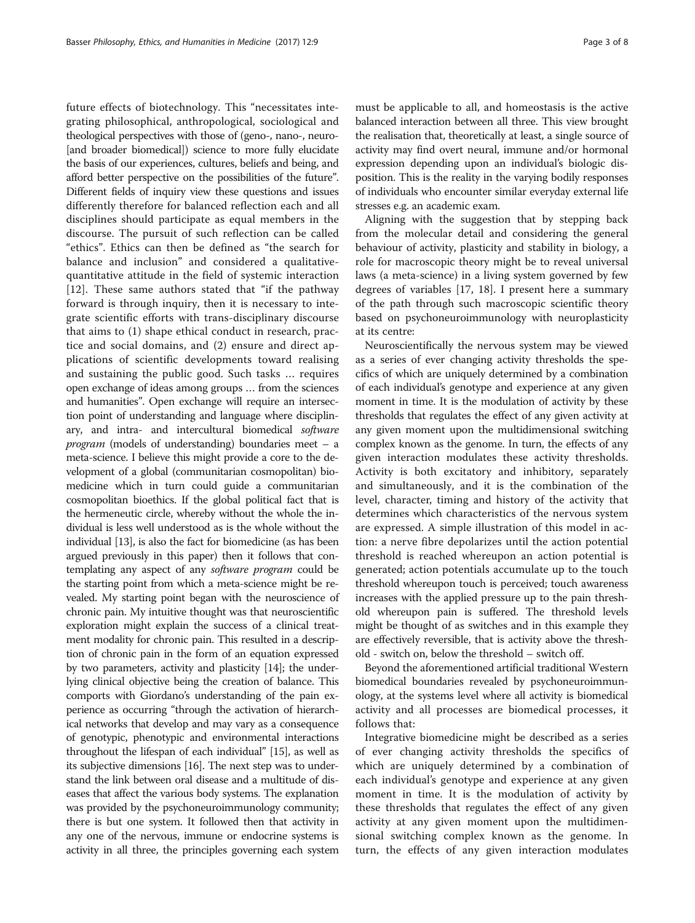future effects of biotechnology. This "necessitates integrating philosophical, anthropological, sociological and theological perspectives with those of (geno-, nano-, neuro- [and broader biomedical]) science to more fully elucidate the basis of our experiences, cultures, beliefs and being, and afford better perspective on the possibilities of the future". Different fields of inquiry view these questions and issues differently therefore for balanced reflection each and all disciplines should participate as equal members in the discourse. The pursuit of such reflection can be called "ethics". Ethics can then be defined as "the search for balance and inclusion" and considered a qualitativequantitative attitude in the field of systemic interaction [[12\]](#page-6-0). These same authors stated that "if the pathway forward is through inquiry, then it is necessary to integrate scientific efforts with trans-disciplinary discourse that aims to (1) shape ethical conduct in research, practice and social domains, and (2) ensure and direct applications of scientific developments toward realising and sustaining the public good. Such tasks … requires open exchange of ideas among groups … from the sciences and humanities". Open exchange will require an intersection point of understanding and language where disciplinary, and intra- and intercultural biomedical software program (models of understanding) boundaries meet – a meta-science. I believe this might provide a core to the development of a global (communitarian cosmopolitan) biomedicine which in turn could guide a communitarian cosmopolitan bioethics. If the global political fact that is the hermeneutic circle, whereby without the whole the individual is less well understood as is the whole without the individual [\[13\]](#page-6-0), is also the fact for biomedicine (as has been argued previously in this paper) then it follows that contemplating any aspect of any software program could be the starting point from which a meta-science might be revealed. My starting point began with the neuroscience of chronic pain. My intuitive thought was that neuroscientific exploration might explain the success of a clinical treatment modality for chronic pain. This resulted in a description of chronic pain in the form of an equation expressed by two parameters, activity and plasticity [\[14\]](#page-6-0); the underlying clinical objective being the creation of balance. This comports with Giordano's understanding of the pain experience as occurring "through the activation of hierarchical networks that develop and may vary as a consequence of genotypic, phenotypic and environmental interactions throughout the lifespan of each individual" [\[15\]](#page-6-0), as well as its subjective dimensions [\[16](#page-7-0)]. The next step was to understand the link between oral disease and a multitude of diseases that affect the various body systems. The explanation was provided by the psychoneuroimmunology community; there is but one system. It followed then that activity in any one of the nervous, immune or endocrine systems is activity in all three, the principles governing each system

must be applicable to all, and homeostasis is the active balanced interaction between all three. This view brought the realisation that, theoretically at least, a single source of activity may find overt neural, immune and/or hormonal expression depending upon an individual's biologic disposition. This is the reality in the varying bodily responses of individuals who encounter similar everyday external life stresses e.g. an academic exam.

Aligning with the suggestion that by stepping back from the molecular detail and considering the general behaviour of activity, plasticity and stability in biology, a role for macroscopic theory might be to reveal universal laws (a meta-science) in a living system governed by few degrees of variables [\[17, 18\]](#page-7-0). I present here a summary of the path through such macroscopic scientific theory based on psychoneuroimmunology with neuroplasticity at its centre:

Neuroscientifically the nervous system may be viewed as a series of ever changing activity thresholds the specifics of which are uniquely determined by a combination of each individual's genotype and experience at any given moment in time. It is the modulation of activity by these thresholds that regulates the effect of any given activity at any given moment upon the multidimensional switching complex known as the genome. In turn, the effects of any given interaction modulates these activity thresholds. Activity is both excitatory and inhibitory, separately and simultaneously, and it is the combination of the level, character, timing and history of the activity that determines which characteristics of the nervous system are expressed. A simple illustration of this model in action: a nerve fibre depolarizes until the action potential threshold is reached whereupon an action potential is generated; action potentials accumulate up to the touch threshold whereupon touch is perceived; touch awareness increases with the applied pressure up to the pain threshold whereupon pain is suffered. The threshold levels might be thought of as switches and in this example they are effectively reversible, that is activity above the threshold - switch on, below the threshold – switch off.

Beyond the aforementioned artificial traditional Western biomedical boundaries revealed by psychoneuroimmunology, at the systems level where all activity is biomedical activity and all processes are biomedical processes, it follows that:

Integrative biomedicine might be described as a series of ever changing activity thresholds the specifics of which are uniquely determined by a combination of each individual's genotype and experience at any given moment in time. It is the modulation of activity by these thresholds that regulates the effect of any given activity at any given moment upon the multidimensional switching complex known as the genome. In turn, the effects of any given interaction modulates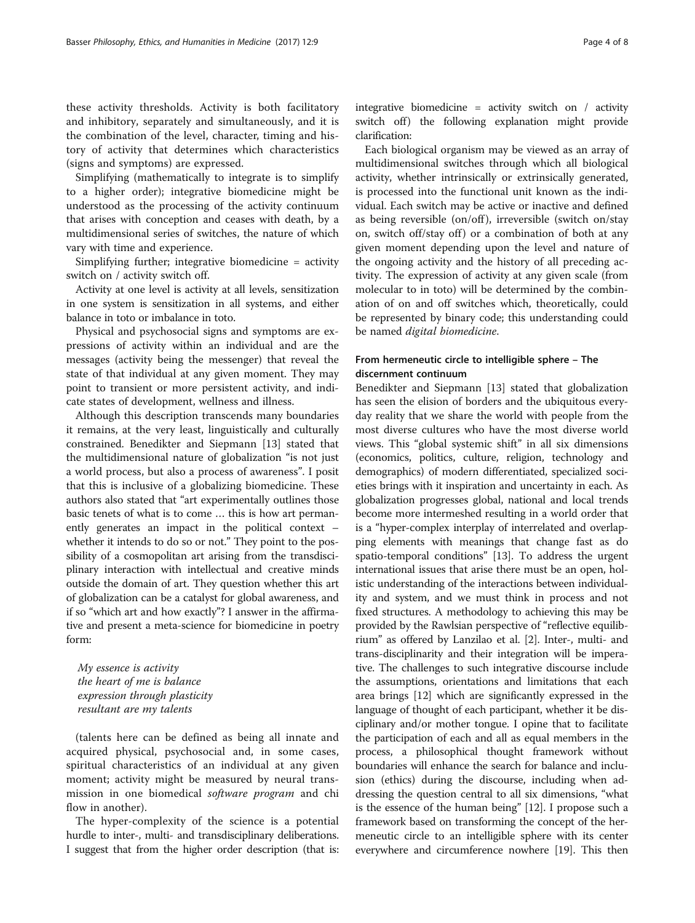these activity thresholds. Activity is both facilitatory and inhibitory, separately and simultaneously, and it is the combination of the level, character, timing and history of activity that determines which characteristics (signs and symptoms) are expressed.

Simplifying (mathematically to integrate is to simplify to a higher order); integrative biomedicine might be understood as the processing of the activity continuum that arises with conception and ceases with death, by a multidimensional series of switches, the nature of which vary with time and experience.

Simplifying further; integrative biomedicine = activity switch on / activity switch off.

Activity at one level is activity at all levels, sensitization in one system is sensitization in all systems, and either balance in toto or imbalance in toto.

Physical and psychosocial signs and symptoms are expressions of activity within an individual and are the messages (activity being the messenger) that reveal the state of that individual at any given moment. They may point to transient or more persistent activity, and indicate states of development, wellness and illness.

Although this description transcends many boundaries it remains, at the very least, linguistically and culturally constrained. Benedikter and Siepmann [[13\]](#page-6-0) stated that the multidimensional nature of globalization "is not just a world process, but also a process of awareness". I posit that this is inclusive of a globalizing biomedicine. These authors also stated that "art experimentally outlines those basic tenets of what is to come … this is how art permanently generates an impact in the political context – whether it intends to do so or not." They point to the possibility of a cosmopolitan art arising from the transdisciplinary interaction with intellectual and creative minds outside the domain of art. They question whether this art of globalization can be a catalyst for global awareness, and if so "which art and how exactly"? I answer in the affirmative and present a meta-science for biomedicine in poetry form:

My essence is activity the heart of me is balance expression through plasticity resultant are my talents

(talents here can be defined as being all innate and acquired physical, psychosocial and, in some cases, spiritual characteristics of an individual at any given moment; activity might be measured by neural transmission in one biomedical software program and chi flow in another).

The hyper-complexity of the science is a potential hurdle to inter-, multi- and transdisciplinary deliberations. I suggest that from the higher order description (that is: integrative biomedicine = activity switch on / activity switch off) the following explanation might provide clarification:

Each biological organism may be viewed as an array of multidimensional switches through which all biological activity, whether intrinsically or extrinsically generated, is processed into the functional unit known as the individual. Each switch may be active or inactive and defined as being reversible (on/off), irreversible (switch on/stay on, switch off/stay off) or a combination of both at any given moment depending upon the level and nature of the ongoing activity and the history of all preceding activity. The expression of activity at any given scale (from molecular to in toto) will be determined by the combination of on and off switches which, theoretically, could be represented by binary code; this understanding could be named digital biomedicine.

## From hermeneutic circle to intelligible sphere – The discernment continuum

Benedikter and Siepmann [\[13](#page-6-0)] stated that globalization has seen the elision of borders and the ubiquitous everyday reality that we share the world with people from the most diverse cultures who have the most diverse world views. This "global systemic shift" in all six dimensions (economics, politics, culture, religion, technology and demographics) of modern differentiated, specialized societies brings with it inspiration and uncertainty in each. As globalization progresses global, national and local trends become more intermeshed resulting in a world order that is a "hyper-complex interplay of interrelated and overlapping elements with meanings that change fast as do spatio-temporal conditions" [\[13](#page-6-0)]. To address the urgent international issues that arise there must be an open, holistic understanding of the interactions between individuality and system, and we must think in process and not fixed structures. A methodology to achieving this may be provided by the Rawlsian perspective of "reflective equilibrium" as offered by Lanzilao et al. [[2\]](#page-6-0). Inter-, multi- and trans-disciplinarity and their integration will be imperative. The challenges to such integrative discourse include the assumptions, orientations and limitations that each area brings [\[12](#page-6-0)] which are significantly expressed in the language of thought of each participant, whether it be disciplinary and/or mother tongue. I opine that to facilitate the participation of each and all as equal members in the process, a philosophical thought framework without boundaries will enhance the search for balance and inclusion (ethics) during the discourse, including when addressing the question central to all six dimensions, "what is the essence of the human being" [\[12\]](#page-6-0). I propose such a framework based on transforming the concept of the hermeneutic circle to an intelligible sphere with its center everywhere and circumference nowhere [\[19](#page-7-0)]. This then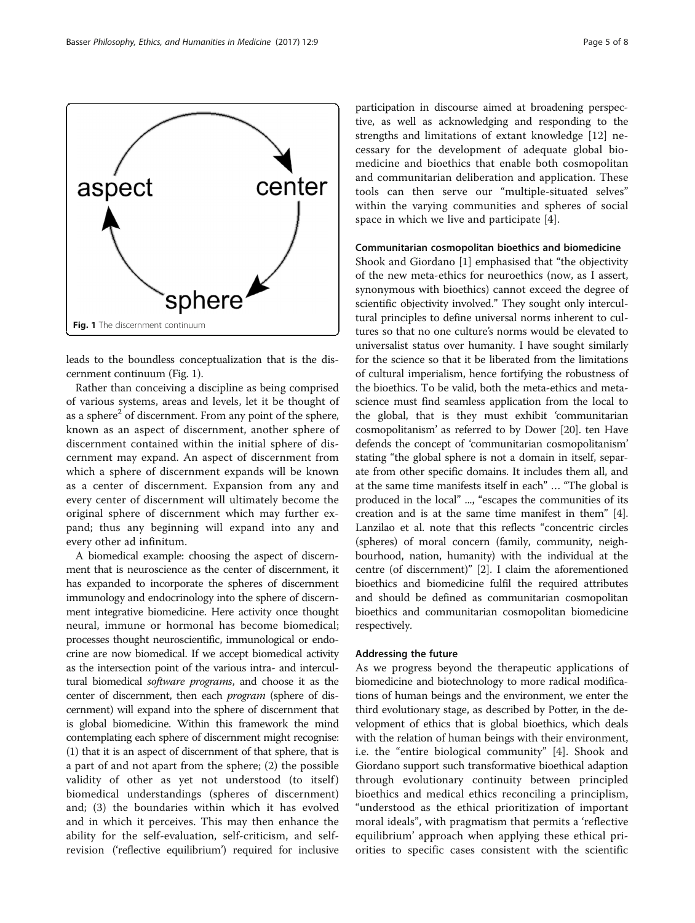

leads to the boundless conceptualization that is the discernment continuum (Fig. 1).

Rather than conceiving a discipline as being comprised of various systems, areas and levels, let it be thought of as a sphere<sup>2</sup> of discernment. From any point of the sphere, known as an aspect of discernment, another sphere of discernment contained within the initial sphere of discernment may expand. An aspect of discernment from which a sphere of discernment expands will be known as a center of discernment. Expansion from any and every center of discernment will ultimately become the original sphere of discernment which may further expand; thus any beginning will expand into any and every other ad infinitum.

A biomedical example: choosing the aspect of discernment that is neuroscience as the center of discernment, it has expanded to incorporate the spheres of discernment immunology and endocrinology into the sphere of discernment integrative biomedicine. Here activity once thought neural, immune or hormonal has become biomedical; processes thought neuroscientific, immunological or endocrine are now biomedical. If we accept biomedical activity as the intersection point of the various intra- and intercultural biomedical software programs, and choose it as the center of discernment, then each program (sphere of discernment) will expand into the sphere of discernment that is global biomedicine. Within this framework the mind contemplating each sphere of discernment might recognise: (1) that it is an aspect of discernment of that sphere, that is a part of and not apart from the sphere; (2) the possible validity of other as yet not understood (to itself) biomedical understandings (spheres of discernment) and; (3) the boundaries within which it has evolved and in which it perceives. This may then enhance the ability for the self-evaluation, self-criticism, and selfrevision ('reflective equilibrium') required for inclusive

participation in discourse aimed at broadening perspective, as well as acknowledging and responding to the strengths and limitations of extant knowledge [\[12](#page-6-0)] necessary for the development of adequate global biomedicine and bioethics that enable both cosmopolitan and communitarian deliberation and application. These tools can then serve our "multiple-situated selves" within the varying communities and spheres of social space in which we live and participate [\[4\]](#page-6-0).

#### Communitarian cosmopolitan bioethics and biomedicine

Shook and Giordano [\[1](#page-6-0)] emphasised that "the objectivity of the new meta-ethics for neuroethics (now, as I assert, synonymous with bioethics) cannot exceed the degree of scientific objectivity involved." They sought only intercultural principles to define universal norms inherent to cultures so that no one culture's norms would be elevated to universalist status over humanity. I have sought similarly for the science so that it be liberated from the limitations of cultural imperialism, hence fortifying the robustness of the bioethics. To be valid, both the meta-ethics and metascience must find seamless application from the local to the global, that is they must exhibit 'communitarian cosmopolitanism' as referred to by Dower [\[20\]](#page-7-0). ten Have defends the concept of 'communitarian cosmopolitanism' stating "the global sphere is not a domain in itself, separate from other specific domains. It includes them all, and at the same time manifests itself in each"…"The global is produced in the local" ..., "escapes the communities of its creation and is at the same time manifest in them" [[4](#page-6-0)]. Lanzilao et al. note that this reflects "concentric circles (spheres) of moral concern (family, community, neighbourhood, nation, humanity) with the individual at the centre (of discernment)" [[2\]](#page-6-0). I claim the aforementioned bioethics and biomedicine fulfil the required attributes and should be defined as communitarian cosmopolitan bioethics and communitarian cosmopolitan biomedicine respectively.

#### Addressing the future

As we progress beyond the therapeutic applications of biomedicine and biotechnology to more radical modifications of human beings and the environment, we enter the third evolutionary stage, as described by Potter, in the development of ethics that is global bioethics, which deals with the relation of human beings with their environment, i.e. the "entire biological community" [[4\]](#page-6-0). Shook and Giordano support such transformative bioethical adaption through evolutionary continuity between principled bioethics and medical ethics reconciling a principlism, "understood as the ethical prioritization of important moral ideals", with pragmatism that permits a 'reflective equilibrium' approach when applying these ethical priorities to specific cases consistent with the scientific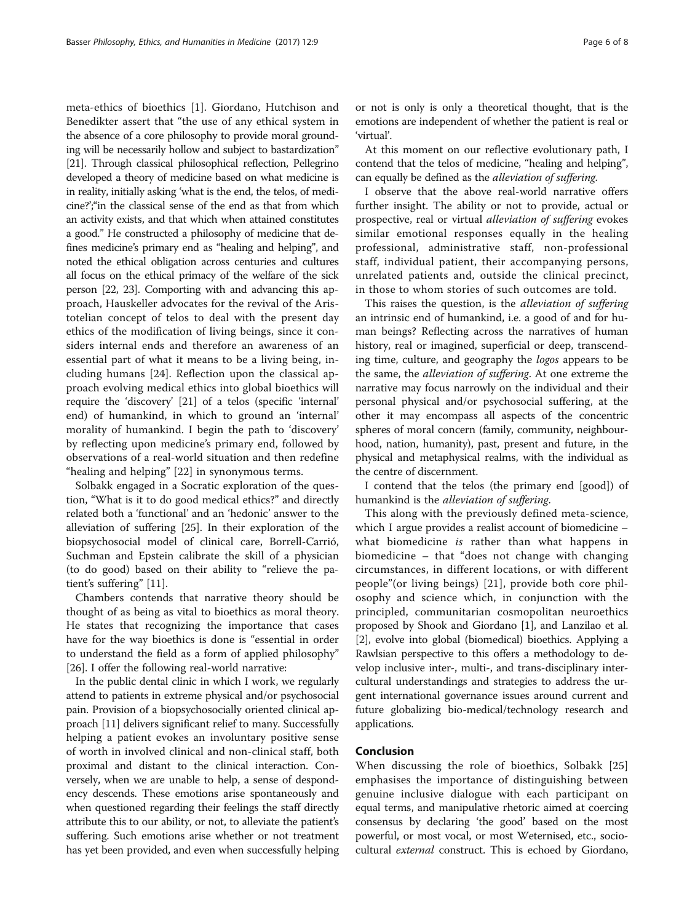meta-ethics of bioethics [[1\]](#page-6-0). Giordano, Hutchison and Benedikter assert that "the use of any ethical system in the absence of a core philosophy to provide moral grounding will be necessarily hollow and subject to bastardization" [[21](#page-7-0)]. Through classical philosophical reflection, Pellegrino developed a theory of medicine based on what medicine is in reality, initially asking 'what is the end, the telos, of medicine?';"in the classical sense of the end as that from which an activity exists, and that which when attained constitutes a good." He constructed a philosophy of medicine that defines medicine's primary end as "healing and helping", and noted the ethical obligation across centuries and cultures all focus on the ethical primacy of the welfare of the sick person [\[22, 23](#page-7-0)]. Comporting with and advancing this approach, Hauskeller advocates for the revival of the Aristotelian concept of telos to deal with the present day ethics of the modification of living beings, since it considers internal ends and therefore an awareness of an essential part of what it means to be a living being, including humans [[24\]](#page-7-0). Reflection upon the classical approach evolving medical ethics into global bioethics will require the 'discovery' [\[21\]](#page-7-0) of a telos (specific 'internal' end) of humankind, in which to ground an 'internal' morality of humankind. I begin the path to 'discovery' by reflecting upon medicine's primary end, followed by observations of a real-world situation and then redefine "healing and helping" [\[22](#page-7-0)] in synonymous terms.

Solbakk engaged in a Socratic exploration of the question, "What is it to do good medical ethics?" and directly related both a 'functional' and an 'hedonic' answer to the alleviation of suffering [\[25](#page-7-0)]. In their exploration of the biopsychosocial model of clinical care, Borrell-Carrió, Suchman and Epstein calibrate the skill of a physician (to do good) based on their ability to "relieve the patient's suffering" [[11\]](#page-6-0).

Chambers contends that narrative theory should be thought of as being as vital to bioethics as moral theory. He states that recognizing the importance that cases have for the way bioethics is done is "essential in order to understand the field as a form of applied philosophy" [[26\]](#page-7-0). I offer the following real-world narrative:

In the public dental clinic in which I work, we regularly attend to patients in extreme physical and/or psychosocial pain. Provision of a biopsychosocially oriented clinical approach [\[11\]](#page-6-0) delivers significant relief to many. Successfully helping a patient evokes an involuntary positive sense of worth in involved clinical and non-clinical staff, both proximal and distant to the clinical interaction. Conversely, when we are unable to help, a sense of despondency descends. These emotions arise spontaneously and when questioned regarding their feelings the staff directly attribute this to our ability, or not, to alleviate the patient's suffering. Such emotions arise whether or not treatment has yet been provided, and even when successfully helping or not is only is only a theoretical thought, that is the emotions are independent of whether the patient is real or 'virtual'.

At this moment on our reflective evolutionary path, I contend that the telos of medicine, "healing and helping", can equally be defined as the alleviation of suffering.

I observe that the above real-world narrative offers further insight. The ability or not to provide, actual or prospective, real or virtual alleviation of suffering evokes similar emotional responses equally in the healing professional, administrative staff, non-professional staff, individual patient, their accompanying persons, unrelated patients and, outside the clinical precinct, in those to whom stories of such outcomes are told.

This raises the question, is the alleviation of suffering an intrinsic end of humankind, i.e. a good of and for human beings? Reflecting across the narratives of human history, real or imagined, superficial or deep, transcending time, culture, and geography the logos appears to be the same, the alleviation of suffering. At one extreme the narrative may focus narrowly on the individual and their personal physical and/or psychosocial suffering, at the other it may encompass all aspects of the concentric spheres of moral concern (family, community, neighbourhood, nation, humanity), past, present and future, in the physical and metaphysical realms, with the individual as the centre of discernment.

I contend that the telos (the primary end [good]) of humankind is the alleviation of suffering.

This along with the previously defined meta-science, which I argue provides a realist account of biomedicine – what biomedicine is rather than what happens in biomedicine – that "does not change with changing circumstances, in different locations, or with different people"(or living beings) [[21\]](#page-7-0), provide both core philosophy and science which, in conjunction with the principled, communitarian cosmopolitan neuroethics proposed by Shook and Giordano [[1](#page-6-0)], and Lanzilao et al. [[2\]](#page-6-0), evolve into global (biomedical) bioethics. Applying a Rawlsian perspective to this offers a methodology to develop inclusive inter-, multi-, and trans-disciplinary intercultural understandings and strategies to address the urgent international governance issues around current and future globalizing bio-medical/technology research and applications.

## Conclusion

When discussing the role of bioethics, Solbakk [\[25](#page-7-0)] emphasises the importance of distinguishing between genuine inclusive dialogue with each participant on equal terms, and manipulative rhetoric aimed at coercing consensus by declaring 'the good' based on the most powerful, or most vocal, or most Weternised, etc., sociocultural external construct. This is echoed by Giordano,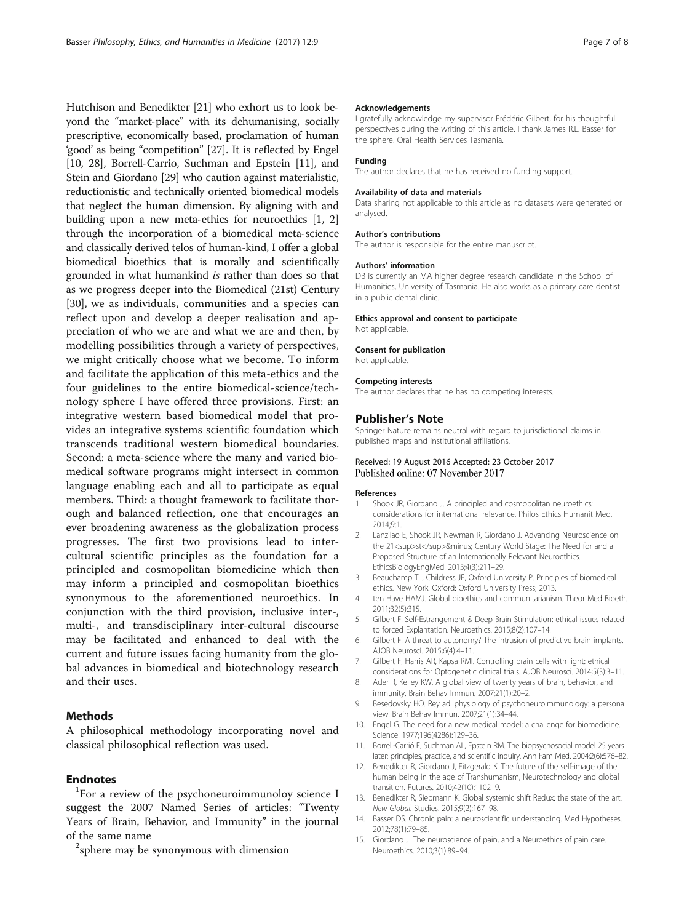<span id="page-6-0"></span>Hutchison and Benedikter [[21](#page-7-0)] who exhort us to look beyond the "market-place" with its dehumanising, socially prescriptive, economically based, proclamation of human 'good' as being "competition" [[27](#page-7-0)]. It is reflected by Engel [10, [28\]](#page-7-0), Borrell-Carrio, Suchman and Epstein [11], and Stein and Giordano [\[29\]](#page-7-0) who caution against materialistic, reductionistic and technically oriented biomedical models that neglect the human dimension. By aligning with and building upon a new meta-ethics for neuroethics [1, 2] through the incorporation of a biomedical meta-science and classically derived telos of human-kind, I offer a global biomedical bioethics that is morally and scientifically grounded in what humankind is rather than does so that as we progress deeper into the Biomedical (21st) Century [[30](#page-7-0)], we as individuals, communities and a species can reflect upon and develop a deeper realisation and appreciation of who we are and what we are and then, by modelling possibilities through a variety of perspectives, we might critically choose what we become. To inform and facilitate the application of this meta-ethics and the four guidelines to the entire biomedical-science/technology sphere I have offered three provisions. First: an integrative western based biomedical model that provides an integrative systems scientific foundation which transcends traditional western biomedical boundaries. Second: a meta-science where the many and varied biomedical software programs might intersect in common language enabling each and all to participate as equal members. Third: a thought framework to facilitate thorough and balanced reflection, one that encourages an ever broadening awareness as the globalization process progresses. The first two provisions lead to intercultural scientific principles as the foundation for a principled and cosmopolitan biomedicine which then may inform a principled and cosmopolitan bioethics synonymous to the aforementioned neuroethics. In conjunction with the third provision, inclusive inter-, multi-, and transdisciplinary inter-cultural discourse may be facilitated and enhanced to deal with the current and future issues facing humanity from the global advances in biomedical and biotechnology research and their uses.

## Methods

A philosophical methodology incorporating novel and classical philosophical reflection was used.

### **Endnotes**

<sup>1</sup>For a review of the psychoneuroimmunoloy science I suggest the 2007 Named Series of articles: "Twenty Years of Brain, Behavior, and Immunity" in the journal of the same name

<sup>2</sup> sphere may be synonymous with dimension

#### Acknowledgements

I gratefully acknowledge my supervisor Frédéric Gilbert, for his thoughtful perspectives during the writing of this article. I thank James R.L. Basser for the sphere. Oral Health Services Tasmania.

#### Funding

The author declares that he has received no funding support.

#### Availability of data and materials

Data sharing not applicable to this article as no datasets were generated or analysed.

#### Author's contributions

The author is responsible for the entire manuscript.

#### Authors' information

DB is currently an MA higher degree research candidate in the School of Humanities, University of Tasmania. He also works as a primary care dentist in a public dental clinic.

## Ethics approval and consent to participate

Not applicable.

## Consent for publication

Not applicable.

#### Competing interests

The author declares that he has no competing interests.

#### Publisher's Note

Springer Nature remains neutral with regard to jurisdictional claims in published maps and institutional affiliations.

#### Received: 19 August 2016 Accepted: 23 October 2017 Published online: 07 November 2017

#### References

- Shook JR, Giordano J. A principled and cosmopolitan neuroethics: considerations for international relevance. Philos Ethics Humanit Med. 2014;9:1.
- 2. Lanzilao E, Shook JR, Newman R, Giordano J. Advancing Neuroscience on the 21<sup>st</sup>&minus: Century World Stage: The Need for and a Proposed Structure of an Internationally Relevant Neuroethics. EthicsBiologyEngMed. 2013;4(3):211–29.
- 3. Beauchamp TL, Childress JF, Oxford University P. Principles of biomedical ethics. New York. Oxford: Oxford University Press; 2013.
- 4. ten Have HAMJ. Global bioethics and communitarianism. Theor Med Bioeth. 2011;32(5):315.
- 5. Gilbert F. Self-Estrangement & Deep Brain Stimulation: ethical issues related to forced Explantation. Neuroethics. 2015;8(2):107–14.
- 6. Gilbert F. A threat to autonomy? The intrusion of predictive brain implants. AJOB Neurosci. 2015;6(4):4–11.
- 7. Gilbert F, Harris AR, Kapsa RMI. Controlling brain cells with light: ethical considerations for Optogenetic clinical trials. AJOB Neurosci. 2014;5(3):3–11.
- 8. Ader R, Kelley KW. A global view of twenty years of brain, behavior, and immunity. Brain Behav Immun. 2007;21(1):20–2.
- 9. Besedovsky HO. Rey ad: physiology of psychoneuroimmunology: a personal view. Brain Behav Immun. 2007;21(1):34–44.
- 10. Engel G. The need for a new medical model: a challenge for biomedicine. Science. 1977;196(4286):129–36.
- 11. Borrell-Carrió F, Suchman AL, Epstein RM. The biopsychosocial model 25 years later: principles, practice, and scientific inquiry. Ann Fam Med. 2004;2(6):576–82.
- 12. Benedikter R, Giordano J, Fitzgerald K. The future of the self-image of the human being in the age of Transhumanism, Neurotechnology and global transition. Futures. 2010;42(10):1102–9.
- 13. Benedikter R, Siepmann K. Global systemic shift Redux: the state of the art. New Global. Studies. 2015;9(2):167–98.
- 14. Basser DS. Chronic pain: a neuroscientific understanding. Med Hypotheses. 2012;78(1):79–85.
- 15. Giordano J. The neuroscience of pain, and a Neuroethics of pain care. Neuroethics. 2010;3(1):89–94.